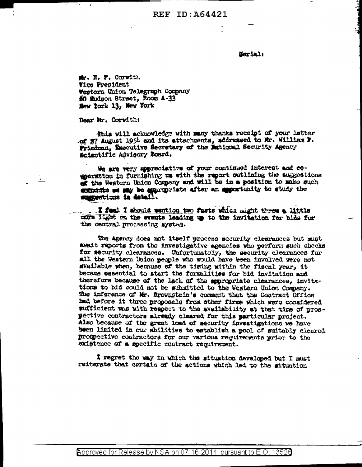Serial:

ا الله<br>الله

Mr. H. F. Corwith **Vice President** Western Union Telegraph Company 60 Eudson Street, Room A-33 New York 13, New York

Dear Mr. Corvith:

 $\mathcal{F}$ 

This will acknowledge with many thanks receipt of your latter of 27 August 1954 and its attachments, addressed to Mr. William F. Friedman, Executive Secretary of the Mational Security Agency Scientific Advisory Board.

We are very appreciative of your continued interest and coeseration in furnishing us with the report outlining the suggestions of the Western Union Company and will be in a position to make such exception as may be appropriate after an apportunity to study the summercions in detail.

I feel I should mention two facts which might threw a little more light as the events leading up to the invitation for bids for the central processing system.

The Agency does not itself process security clearances but must await reports from the investigative agencies who perform such checks for security clearances. Unfortunately, the security clearances for all the Western Union people who would have been involved were not svailable when, because of the timing within the fiscal year, it became essential to start the formalities for bid invitation and therefore because of the lack of the appropriate clearances, invitations to bid could not be submitted to the Western Union Company. The inference of Mr. Brownstein's comment that the Contract Office had before it three proposals from other firms which were considered sufficient was with respect to the availability at that time of prospective contractors already cleared for this particular project. Also because of the great load of security investigations we have been limited in our abilities to establish a pool of suitably cleared prospective contractors for our various requirements prior to the existence of a specific contract requirement.

I regret the way in which the situation developed but I must reiterate that certain of the actions which led to the situation